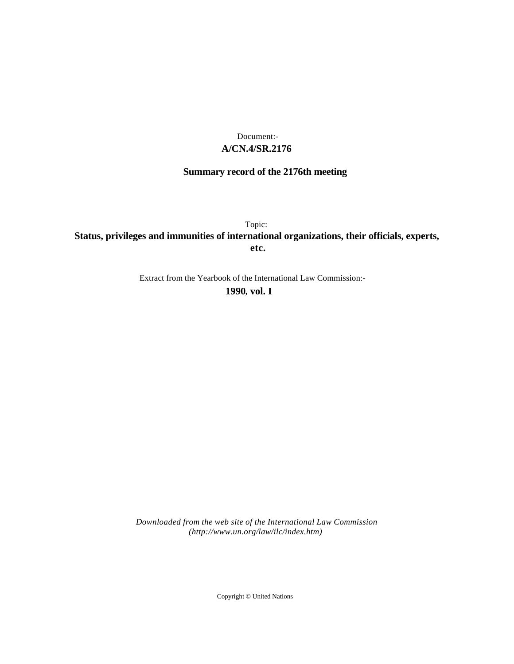## **A/CN.4/SR.2176** Document:-

# **Summary record of the 2176th meeting**

Topic: **Status, privileges and immunities of international organizations, their officials, experts, etc.**

Extract from the Yearbook of the International Law Commission:-

**1990** , **vol. I**

*Downloaded from the web site of the International Law Commission (http://www.un.org/law/ilc/index.htm)*

Copyright © United Nations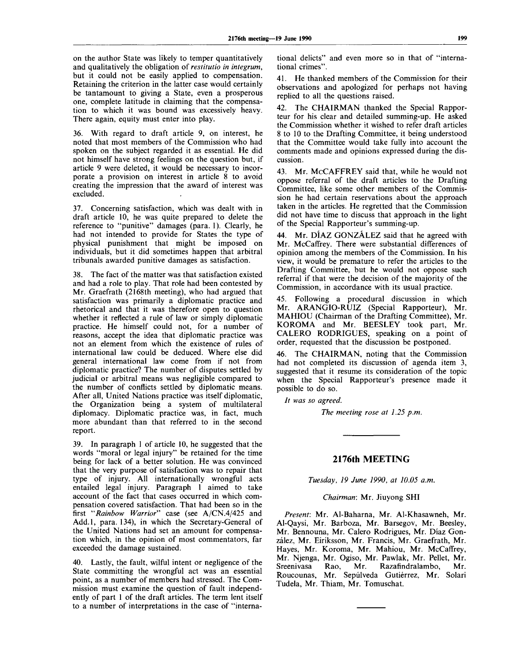on the author State was likely to temper quantitatively and qualitatively the obligation of *restitutio in integrum,* but it could not be easily applied to compensation. Retaining the criterion in the latter case would certainly be tantamount to giving a State, even a prosperous one, complete latitude in claiming that the compensation to which it was bound was excessively heavy. There again, equity must enter into play.

36. With regard to draft article 9, on interest, he noted that most members of the Commission who had spoken on the subject regarded it as essential. He did not himself have strong feelings on the question but, if article 9 were deleted, it would be necessary to incorporate a provision on interest in article 8 to avoid creating the impression that the award of interest was excluded.

37. Concerning satisfaction, which was dealt with in draft article 10, he was quite prepared to delete the reference to "punitive" damages (para. 1). Clearly, he had not intended to provide for States the type of physical punishment that might be imposed on individuals, but it did sometimes happen that arbitral tribunals awarded punitive damages as satisfaction.

38. The fact of the matter was that satisfaction existed and had a role to play. That role had been contested by Mr. Graefrath (2168th meeting), who had argued that satisfaction was primarily a diplomatic practice and rhetorical and that it was therefore open to question whether it reflected a rule of law or simply diplomatic practice. He himself could not, for a number of reasons, accept the idea that diplomatic practice was not an element from which the existence of rules of international law could be deduced. Where else did general international law come from if not from diplomatic practice? The number of disputes settled by judicial or arbitral means was negligible compared to the number of conflicts settled by diplomatic means. After all, United Nations practice was itself diplomatic, the Organization being a system of multilateral diplomacy. Diplomatic practice was, in fact, much more abundant than that referred to in the second report.

39. In paragraph 1 of article 10, he suggested that the words "moral or legal injury" be retained for the time being for lack of a better solution. He was convinced that the very purpose of satisfaction was to repair that type of injury. All internationally wrongful acts entailed legal injury. Paragraph 1 aimed to take account of the fact that cases occurred in which compensation covered satisfaction. That had been so in the first *"Rainbow Warrior"* case (see A/CN.4/425 and Add.l, para. 134), in which the Secretary-General of the United Nations had set an amount for compensation which, in the opinion of most commentators, far exceeded the damage sustained.

40. Lastly, the fault, wilful intent or negligence of the State committing the wrongful act was an essential point, as a number of members had stressed. The Commission must examine the question of fault independently of part 1 of the draft articles. The term lent itself to a number of interpretations in the case of "international delicts" and even more so in that of "international crimes".

41. He thanked members of the Commission for their observations and apologized for perhaps not having replied to all the questions raised.

42. The CHAIRMAN thanked the Special Rapporteur for his clear and detailed summing-up. He asked the Commission whether it wished to refer draft articles 8 to 10 to the Drafting Committee, it being understood that the Committee would take fully into account the comments made and opinions expressed during the discussion.

43. Mr. McCAFFREY said that, while he would not oppose referral of the draft articles to the Drafting Committee, like some other members of the Commission he had certain reservations about the approach taken in the articles. He regretted that the Commission did not have time to discuss that approach in the light of the Special Rapporteur's summing-up.

44. Mr. DIAZ GONZÁLEZ said that he agreed with Mr. McCaffrey. There were substantial differences of opinion among the members of the Commission. In his view, it would be premature to refer the articles to the Drafting Committee, but he would not oppose such referral if that were the decision of the majority of the Commission, in accordance with its usual practice.

45. Following a procedural discussion in which Mr. ARANGIO-RUIZ (Special Rapporteur), Mr. MAHIOU (Chairman of the Drafting Committee), Mr. KOROMA and Mr. BEESLEY took part, Mr. CALERO RODRIGUES, speaking on a point of order, requested that the discussion be postponed.

The CHAIRMAN, noting that the Commission had not completed its discussion of agenda item 3, suggested that it resume its consideration of the topic when the Special Rapporteur's presence made it possible to do so.

*It was so agreed.*

*The meeting rose at 1.25 p.m.*

## **2176th MEETING**

*Tuesday, 19 June 1990, at 10.05 a.m.*

## *Chairman:* Mr. Jiuyong SHI

*Present:* Mr. Al-Baharna, Mr. Al-Khasawneh, Mr. Al-Qaysi, Mr. Barboza, Mr. Barsegov, Mr. Beesley, Mr. Bennouna, Mr. Calero Rodrigues, Mr. Diaz Gonzalez, Mr. Eiriksson, Mr. Francis, Mr. Graefrath, Mr. Hayes, Mr. Koroma, Mr. Mahiou, Mr. McCaffrey, Mr. Njenga, Mr. Ogiso, Mr. Pawlak, Mr. Pellet, Mr. Sreenivasa Rao, Mr. Razafindralambo, Mr. Roucounas, Mr. Sepúlveda Gutiérrez, Mr. Solari Tudela, Mr. Thiam, Mr. Tomuschat.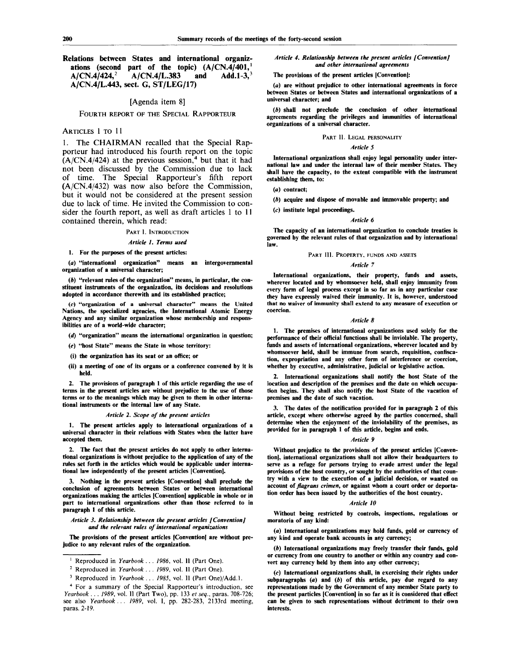#### **Relations between States and international organizations (second part of the topic) (A/CN.4/401,<sup>1</sup> A/CN.4/424,<sup>2</sup> A/CN.4/L.383 and Add.1-3,<sup>3</sup> A/CN.4/L.443, sect. G, ST/LEG/17)**

## [Agenda item 8]

FOURTH REPORT OF THE SPECIAL RAPPORTEUR

## ARTICLES 1 TO 11

1. The CHAIRMAN recalled that the Special Rapporteur had introduced his fourth report on the topic  $(A/CN.4/424)$  at the previous session,<sup>4</sup> but that it had not been discussed by the Commission due to lack of time. The Special Rapporteur's fifth report (A/CN.4/432) was now also before the Commission, but it would not be considered at the present session due to lack of time. He invited the Commission to consider the fourth report, as well as draft articles 1 to 11 contained therein, which read:

#### **PART I. INTRODUCTION**

#### *Article 1. Terms used*

**1. For the purposes of the present articles:**

*(a)* **"international organization" means an intergovernmental organization of a universal character;**

**(6) "relevant rules of the organization" means, in particular, the constituent instruments of the organization, its decisions and resolutions adopted in accordance therewith and its established practice;**

**(c) "organization of a universal character" means the United Nations, the specialized agencies, the International Atomic Energy Agency and any similar organization whose membership and responsibilities are of a world-wide character;**

- *(d)* **"organization" means the international organization in question;**
- *(e)* **"host State" means the State in whose territory:**
- **(i) the organization has its seat or an office; or**
- **(ii) a meeting of one of its organs or a conference convened by it is held.**

**2. The provisions of paragraph 1 of this article regarding the use of terms in the present articles are without prejudice to the use of those terms or to the meanings which may be given to them in other international instruments or the internal law of any State.**

## *Article 2. Scope of the present articles*

**1. The present articles apply to international organizations of a universal character in their relations with States when the latter have accepted them.**

**2. The fact that the present articles do not apply to other international organizations is without prejudice to the application of any of the rules set forth in the articles which would be applicable under international law independently of the present articles [Convention].**

**3. Nothing in the present articles [Convention] shall preclude the conclusion of agreements between States or between international organizations making the articles [Convention] applicable in whole or in part to international organizations other than those referred to in paragraph 1 of this article.**

#### *Article 3. Relationship between the present articles f Convention] and the relevant rules of international organizations*

**The provisions of the present articles [Convention] are without prejudice to any relevant rules of the organization.**

- **2 Reproduced in** *Yearbook . . . 1989,* **vol. II (Part One).**
- **3 Reproduced in** *Yearbook . . . 1985,* **vol. II (Part One)/Add.l.**

### *Article 4. Relationship between the present articles [Convention] and other international agreements*

**The provisions of the present articles [Convention!:**

**(a) are without prejudice to other international agreements in force between States or between States and international organizations of a universal character; and**

*{b)* **shall not preclude the conclusion of other international agreements regarding the privileges and immunities of international organizations of a universal character.**

## **PART II. LEGAL PERSONALITY**

## *Article 5*

**International organizations shall enjoy legal personality under international law and under the internal law of their member States. They shall have the capacity, to the extent compatible with the instrument establishing them,** *to:*

- *(a)* **contract;**
- *(b)* **acquire and dispose of movable and immovable property; and**
- **(c) institute legal proceedings.**

#### *Article 6*

**The capacity of an international organization to conclude treaties is governed by the relevant rules of that organization and by international law.**

#### **PART III. PROPERTY, FUNDS AND ASSETS**

### *Article 7*

**International organizations, their property, funds and assets, wherever located and by whomsoever held, shall enjoy immunity from every form of legal process except in so far as in any particular case they have expressly waived their immunity. It is, however, understood that no waiver of immunity shall extend to any measure of execution or coercion.**

## *Article 8*

**1. The premises of international organizations used solely for the performance of their official functions shall be inviolable. The property, funds and assets of international organizations, wherever located and by whomsoever held, shall be immune from search, requisition, confiscation, expropriation and any other form of interference or coercion, whether by executive, administrative, judicial or legislative action.**

**2. International organizations shall notify the host State of the location and description of the premises and the date on which occupation begins. They shall also notify the host State of the vacation of premises and the date of such vacation.**

**3. The dates of the notification provided for in paragraph 2 of this article, except where otherwise agreed by the parties concerned, shall determine when the enjoyment of the inviolability of the premises, as provided for in paragraph 1 of this article, begins and ends.**

### *Article 9*

**Without prejudice to the provisions of the present articles [Convention], international organizations shall not allow their headquarters to serve as a refuge for persons trying** *to* **evade arrest under the legal provisions of the host country, or sought by the authorities of that country with a view to the execution of a judicial decision, or wanted on account of** *flagrans crimen,* **or against whom a court order or deportation order has been issued by the authorities of the host country.**

### *Article 10*

**Without being restricted by controls, inspections, regulations or moratoria of any kind:**

**(a) International organizations may hold funds, gold or currency of any kind and operate bank accounts in any currency;**

*(b)* **International organizations may freely transfer their funds, gold or currency from one country to another or within any country and convert any currency held by them into any other currency;**

**(c) International organizations shall, in exercising their rights under subparagraphs (a) and** *(b)* **of this article, pay due regard to any representations made by the Government of any member State party to the present particles [Convention] in so far as it is considered that effect can be given to such representations without detriment to their own interests.**

**<sup>1</sup> Reproduced in** *Yearbook .* **. .** *1986,* **vol. II (Part One).**

**<sup>4</sup> For a summary of the Special Rapporteur's introduction, see** *Yearbook . . . 1989,* **vol. II (Part Two), pp. 133** *et seq.,* **paras. 708-726; see also** *Yearbook... 1989,* **vol. I, pp. 282-283, 2133rd meeting, paras. 2-19.**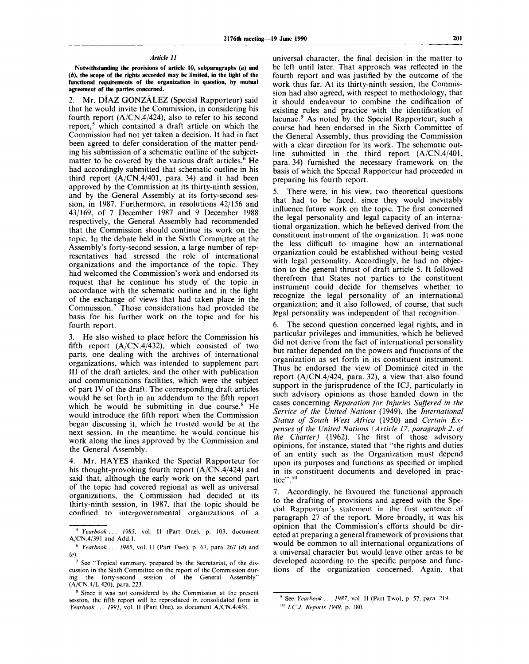## *Article 11*

**Notwithstanding the provisions of article 10, subparagraphs (a) and** *(b),* **the scope of the rights accorded may be limited, in the light of the functional requirements of the organization in question, by mutual agreement of the parties concerned.**

2. Mr. DIAZ GONZALEZ (Special Rapporteur) said that he would invite the Commission, in considering his fourth report (A/CN.4/424), also to refer to his second report,<sup>5</sup> which contained a draft article on which the Commission had not yet taken a decision. It had in fact been agreed to defer consideration of the matter pending his submission of a schematic outline of the subjectmatter to be covered by the various draft articles.<sup> $\delta$ </sup> He had accordingly submitted that schematic outline in his third report (A/CN.4/401, para. 34) and it had been approved by the Commission at its thirty-ninth session, and by the General Assembly at its forty-second session, in 1987. Furthermore, in resolutions 42/156 and 43/169, of 7 December 1987 and 9 December 1988 respectively, the General Assembly had recommended that the Commission should continue its work on the topic. In the debate held in the Sixth Committee at the Assembly's forty-second session, a large number of representatives had stressed the role of international organizations and the importance of the topic. They had welcomed the Commission's work and endorsed its request that he continue his study of the topic in accordance with the schematic outline and in the light of the exchange of views that had taken place in the Commission.<sup>7</sup> Those considerations had provided the basis for his further work on the topic and for his fourth report.

3. He also wished to place before the Commission his fifth report  $(A/CN.4/432)$ , which consisted of two parts, one dealing with the archives of international organizations, which was intended to supplement part III of the draft articles, and the other with publication and communications facilities, which were the subject of part IV of the draft. The corresponding draft articles would be set forth in an addendum to the fifth report which he would be submitting in due course.<sup>8</sup> He would introduce the fifth report when the Commission began discussing it, which he trusted would be at the next session. In the meantime, he would continue his work along the lines approved by the Commission and the General Assembly.

4. Mr. HAYES thanked the Special Rapporteur for his thought-provoking fourth report (A/CN.4/424) and said that, although the early work on the second part of the topic had covered regional as well as universal organizations, the Commission had decided at its thirty-ninth session, in 1987, that the topic should be confined to intergovernmental organizations of a universal character, the final decision in the matter to be left until later. That approach was reflected in the fourth report and was justified by the outcome of the work thus far. At its thirty-ninth session, the Commission had also agreed, with respect to methodology, that it should endeavour to combine the codification of existing rules and practice with the identification of lacunae.<sup>9</sup> As noted by the Special Rapporteur, such a course had been endorsed in the Sixth Committee of the General Assembly, thus providing the Commission with a clear direction for its work. The schematic outline submitted in the third report (A/CN.4/401, para. 34) furnished the necessary framework on the basis of which the Special Rapporteur had proceeded in preparing his fourth report.

5. There were, in his view, two theoretical questions that had to be faced, since they would inevitably influence future work on the topic. The first concerned the legal personality and legal capacity of an international organization, which he believed derived from the constituent instrument of the organization. It was none the less difficult to imagine how an international organization could be established without being vested with legal personality. Accordingly, he had no objection to the general thrust of draft article 5. It followed therefrom that States not parties to the constituent instrument could decide for themselves whether to recognize the legal personality of an international organization; and it also followed, of course, that such legal personality was independent of that recognition.

6. The second question concerned legal rights, and in particular privileges and immunities, which he believed did not derive from the fact of international personality but rather depended on the powers and functions of the organization as set forth in its constituent instrument. Thus he endorsed the view of Dominicé cited in the report (A/CN.4/424, para. 32), a view that also found support in the jurisprudence of the ICJ, particularly in such advisory opinions as those handed down in the cases concerning *Reparation for Injuries Suffered in the Service of the United Nations* (1949), the *International Status of South West Africa* (1950) and *Certain Expenses of the United Nations (Article 17, paragraph 2, of the Charter)* (1962). The first of those advisory opinions, for instance, stated that "the rights and duties of an entity such as the Organization must depend upon its purposes and functions as specified or implied in its constituent documents and developed in practice".<sup>10</sup>

7. Accordingly, he favoured the functional approach to the drafting of provisions and agreed with the Special Rapporteur's statement in the first sentence of paragraph 27 of the report. More broadly, it was his opinion that the Commission's efforts should be directed at preparing a general framework of provisions that would be common to all international organizations of a universal character but would leave other areas to be developed according to the specific purpose and functions of the organization concerned. Again, that

<sup>5</sup>  *Yearbook . . . 1985,* vol. II (Part One), p. 103, document A/CN.4/391 and Add.l.

<sup>6</sup>  *Yearbook . . . 1985,* vol. II (Part Two), p. 67, para. 267 *(d)* and *(e)-*

<sup>&</sup>lt;sup>7</sup> See "Topical summary, prepared by the Secretariat, of the discussion in the Sixth Committee on the report of the Commission during the forty-second session of the General Assembly" (A/CN.4/L.420), para. 223.

<sup>&</sup>lt;sup>8</sup> Since it was not considered by the Commission at the present session, the fifth report will be reproduced in consolidated form in *Yearbook . . . 1991,* vol. II (Part One), as document A/CN.4/438.

<sup>9</sup> See *Yearbook . . . 1987,* vol. II (Part Two), p. 52, para. 219.

<sup>10</sup>  *l.CJ. Reports 1949,* p. 180.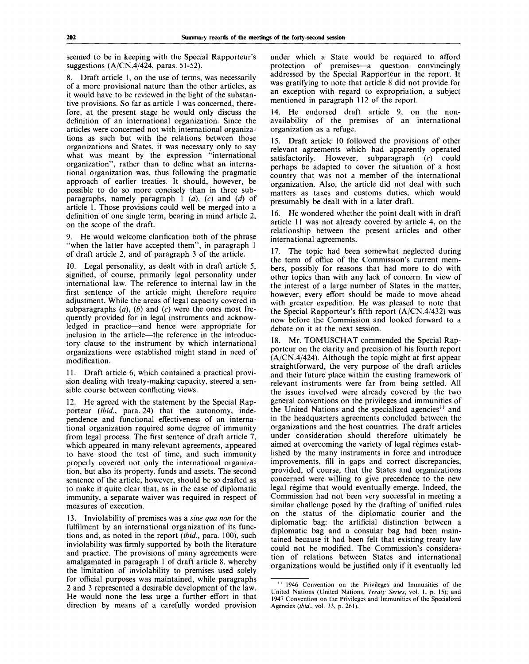seemed to be in keeping with the Special Rapporteur's suggestions (A/CN.4/424, paras. 51-52).

8. Draft article 1, on the use of terms, was necessarily of a more provisional nature than the other articles, as it would have to be reviewed in the light of the substantive provisions. So far as article 1 was concerned, therefore, at the present stage he would only discuss the definition of an international organization. Since the articles were concerned not with international organizations as such but with the relations between those organizations and States, it was necessary only to say what was meant by the expression "international organization", rather than to define what an international organization was, thus following the pragmatic approach of earlier treaties. It should, however, be possible to do so more concisely than in three subparagraphs, namely paragraph 1 *(a), (c)* and *(d)* of article 1. Those provisions could well be merged into a definition of one single term, bearing in mind article 2, on the scope of the draft.

9. He would welcome clarification both of the phrase "when the latter have accepted them", in paragraph 1 of draft article 2, and of paragraph 3 of the article.

10. Legal personality, as dealt with in draft article 5, signified, of course, primarily legal personality under international law. The reference to internal law in the first sentence of the article might therefore require adjustment. While the areas of legal capacity covered in subparagraphs *(a), (b)* and *(c)* were the ones most frequently provided for in legal instruments and acknowledged in practice—and hence were appropriate for inclusion in the article—the reference in the introductory clause to the instrument by which international organizations were established might stand in need of modification.

11. Draft article 6, which contained a practical provision dealing with treaty-making capacity, steered a sensible course between conflicting views.

12. He agreed with the statement by the Special Rapporteur *(ibid.,* para. 24) that the autonomy, independence and functional effectiveness of an international organization required some degree of immunity from legal process. The first sentence of draft article 7, which appeared in many relevant agreements, appeared to have stood the test of time, and such immunity properly covered not only the international organization, but also its property, funds and assets. The second sentence of the article, however, should be so drafted as to make it quite clear that, as in the case of diplomatic immunity, a separate waiver was required in respect of measures of execution.

13. Inviolability of premises was a *sine qua non* for the fulfilment by an international organization of its functions and, as noted in the report *{ibid.,* para. 100), such inviolability was firmly supported by both the literature and practice. The provisions of many agreements were amalgamated in paragraph 1 of draft article 8, whereby the limitation of inviolability to premises used solely for official purposes was maintained, while paragraphs 2 and 3 represented a desirable development of the law. He would none the less urge a further effort in that direction by means of a carefully worded provision

under which a State would be required to afford protection of premises—a question convincingly addressed by the Special Rapporteur in the report. It was gratifying to note that article 8 did not provide for an exception with regard to expropriation, a subject mentioned in paragraph 112 of the report.

14. He endorsed draft article 9, on the nonavailability of the premises of an international organization as a refuge.

15. Draft article 10 followed the provisions of other relevant agreements which had apparently operated satisfactorily. However, subparagraph *(c)* could perhaps be adapted to cover the situation of a host country that was not a member of the international organization. Also, the article did not deal with such matters as taxes and customs duties, which would presumably be dealt with in a later draft.

16. He wondered whether the point dealt with in draft article 11 was not already covered by article 4, on the relationship between the present articles and other international agreements.

17. The topic had been somewhat neglected during the term of office of the Commission's current members, possibly for reasons that had more to do with other topics than with any lack of concern. In view of the interest of a large number of States in the matter, however, every effort should be made to move ahead with greater expedition. He was pleased to note that the Special Rapporteur's fifth report (A/CN.4/432) was now before the Commission and looked forward to a debate on it at the next session.

18. Mr. TOMUSCHAT commended the Special Rapporteur on the clarity and precision of his fourth report  $(A/CN.4/424)$ . Although the topic might at first appear straightforward, the very purpose of the draft articles and their future place within the existing framework of relevant instruments were far from being settled. All the issues involved were already covered by the two general conventions on the privileges and immunities of the United Nations and the specialized agencies<sup>11</sup> and in the headquarters agreements concluded between the organizations and the host countries. The draft articles under consideration should therefore ultimately be aimed at overcoming the variety of legal régimes established by the many instruments in force and introduce improvements, fill in gaps and correct discrepancies, provided, of course, that the States and organizations concerned were willing to give precedence to the new legal régime that would eventually emerge. Indeed, the Commission had not been very successful in meeting a similar challenge posed by the drafting of unified rules on the status of the diplomatic courier and the diplomatic bag: the artificial distinction between a diplomatic bag and a consular bag had been maintained because it had been felt that existing treaty law could not be modified. The Commission's consideration of relations between States and international organizations would be justified only if it eventually led

<sup>&</sup>lt;sup>11</sup> 1946 Convention on the Privileges and Immunities of the United Nations (United Nations, *Treaty Series,* vol. 1. p. 15); and 1947 Convention on the Privileges and Immunities of the Specialized Agencies *(ibid.,* vol. 33, p. 261).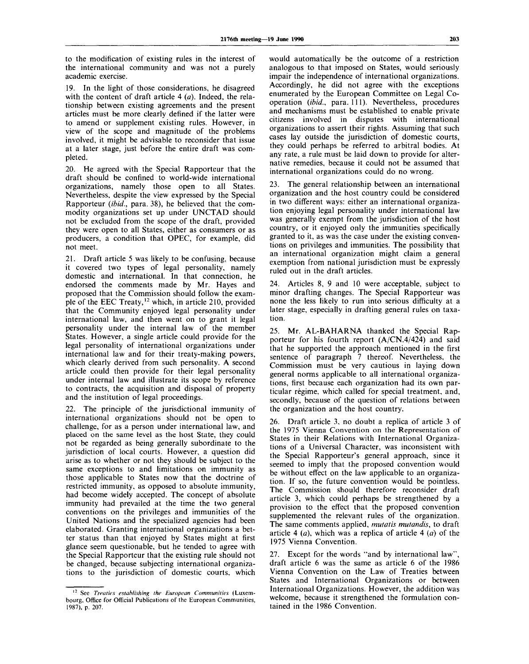to the modification of existing rules in the interest of the international community and was not a purely academic exercise.

In the light of those considerations, he disagreed with the content of draft article 4 *(a).* Indeed, the relationship between existing agreements and the present articles must be more clearly defined if the latter were to amend or supplement existing rules. However, in view of the scope and magnitude of the problems involved, it might be advisable to reconsider that issue at a later stage, just before the entire draft was completed.

20. He agreed with the Special Rapporteur that the draft should be confined to world-wide international organizations, namely those open to all States. Nevertheless, despite the view expressed by the Special Rapporteur *(ibid.,* para. 38), he believed that the commodity organizations set up under UNCTAD should not be excluded from the scope of the draft, provided they were open to all States, either as consumers or as producers, a condition that OPEC, for example, did not meet.

21. Draft article 5 was likely to be confusing, because it covered two types of legal personality, namely domestic and international. In that connection, he endorsed the comments made by Mr. Hayes and proposed that the Commission should follow the example of the EEC Treaty,  $12$  which, in article 210, provided that the Community enjoyed legal personality under international law, and then went on to grant it legal personality under the internal law of the member States. However, a single article could provide for the legal personality of international organizations under international law and for their treaty-making powers, which clearly derived from such personality. A second article could then provide for their legal personality under internal law and illustrate its scope by reference to contracts, the acquisition and disposal of property and the institution of legal proceedings.

22. The principle of the jurisdictional immunity of international organizations should not be open to challenge, for as a person under international law, and placed on the same level as the host State, they could not be regarded as being generally subordinate to the jurisdiction of local courts. However, a question did arise as to whether or not they should be subject to the same exceptions to and limitations on immunity as those applicable to States now that the doctrine of restricted immunity, as opposed to absolute immunity, had become widely accepted. The concept of absolute immunity had prevailed at the time the two general conventions on the privileges and immunities of the United Nations and the specialized agencies had been elaborated. Granting international organizations a better status than that enjoyed by States might at first glance seem questionable, but he tended to agree with the Special Rapporteur that the existing rule should not be changed, because subjecting international organizations to the jurisdiction of domestic courts, which

would automatically be the outcome of a restriction analogous to that imposed on States, would seriously impair the independence of international organizations. Accordingly, he did not agree with the exceptions enumerated by the European Committee on Legal Cooperation *(ibid.,* para. 111). Nevertheless, procedures and mechanisms must be established to enable private citizens involved in disputes with international organizations to assert their rights. Assuming that such cases lay outside the jurisdiction of domestic courts, they could perhaps be referred to arbitral bodies. At any rate, a rule must be laid down to provide for alternative remedies, because it could not be assumed that international organizations could do no wrong.

23. The general relationship between an international organization and the host country could be considered in two different ways: either an international organization enjoying legal personality under international law was generally exempt from the jurisdiction of the host country, or it enjoyed only the immunities specifically granted to it, as was the case under the existing conventions on privileges and immunities. The possibility that an international organization might claim a general exemption from national jurisdiction must be expressly ruled out in the draft articles.

24. Articles 8, 9 and 10 were acceptable, subject to minor drafting changes. The Special Rapporteur was none the less likely to run into serious difficulty at a later stage, especially in drafting general rules on taxation.

25. Mr. AL-BAHARNA thanked the Special Rapporteur for his fourth report (A/CN.4/424) and said that he supported the approach mentioned in the first sentence of paragraph 7 thereof. Nevertheless, the Commission must be very cautious in laying down general norms applicable to all international organizations, first because each organization had its own particular régime, which called for special treatment, and, secondly, because of the question of relations between the organization and the host country.

26. Draft article 3, no doubt a replica of article 3 of the 1975 Vienna Convention on the Representation of States in their Relations with International Organizations of a Universal Character, was inconsistent with the Special Rapporteur's general approach, since it seemed to imply that the proposed convention would be without effect on the law applicable to an organization. If so, the future convention would be pointless. The Commission should therefore reconsider draft article 3, which could perhaps be strengthened by a provision to the effect that the proposed convention supplemented the relevant rules of the organization. The same comments applied, *mutatis mutandis,* to draft article 4 *(a),* which was a replica of article 4 *{a)* of the 1975 Vienna Convention.

27. Except for the words "and by international law", draft article 6 was the same as article 6 of the 1986 Vienna Convention on the Law of Treaties between States and International Organizations or between International Organizations. However, the addition was welcome, because it strengthened the formulation contained in the 1986 Convention.

<sup>12</sup> See *Treaties establishing the European Communities* (Luxembourg, Office for Official Publications of the European Communities, 1987), p. 207.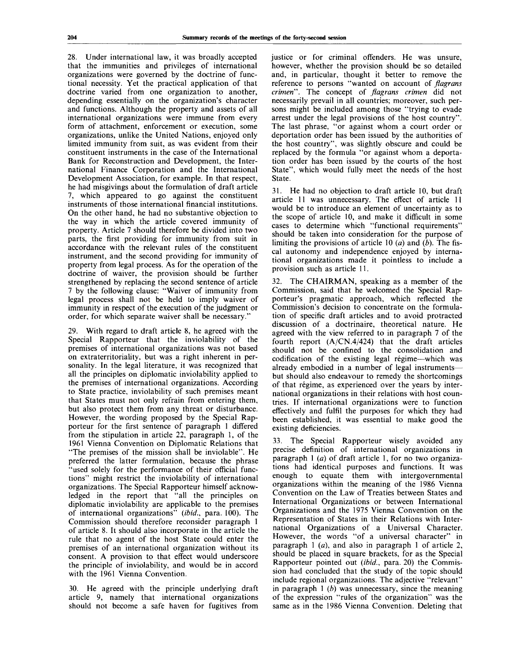28. Under international law, it was broadly accepted that the immunities and privileges of international organizations were governed by the doctrine of functional necessity. Yet the practical application of that doctrine varied from one organization to another, depending essentially on the organization's character and functions. Although the property and assets of all international organizations were immune from every form of attachment, enforcement or execution, some organizations, unlike the United Nations, enjoyed only limited immunity from suit, as was evident from their constituent instruments in the case of the International Bank for Reconstruction and Development, the International Finance Corporation and the International Development Association, for example. In that respect, he had misgivings about the formulation of draft article 7, which appeared to go against the constituent instruments of those international financial institutions. On the other hand, he had no substantive objection to the way in which the article covered immunity of property. Article 7 should therefore be divided into two parts, the first providing for immunity from suit in accordance with the relevant rules of the constituent instrument, and the second providing for immunity of property from legal process. As for the operation of the doctrine of waiver, the provision should be further strengthened by replacing the second sentence of article 7 by the following clause: "Waiver of immunity from legal process shall not be held to imply waiver of immunity in respect of the execution of the judgment or order, for which separate waiver shall be necessary."

29. With regard to draft article 8, he agreed with the Special Rapporteur that the inviolability of the premises of international organizations was not based on extraterritoriality, but was a right inherent in personality. In the legal literature, it was recognized that all the principles on diplomatic inviolability applied to the premises of international organizations. According to State practice, inviolability of such premises meant that States must not only refrain from entering them, but also protect them from any threat or disturbance. However, the wording proposed by the Special Rapporteur for the first sentence of paragraph 1 differed from the stipulation in article 22, paragraph 1, of the 1961 Vienna Convention on Diplomatic Relations that "The premises of the mission shall be inviolable". He preferred the latter formulation, because the phrase 'used solely for the performance of their official functions" might restrict the inviolability of international organizations. The Special Rapporteur himself acknowledged in the report that "all the principles on diplomatic inviolability are applicable to the premises of international organizations" *(ibid.,* para. 100). The Commission should therefore reconsider paragraph 1 of article 8. It should also incorporate in the article the rule that no agent of the host State could enter the premises of an international organization without its consent. A provision to that effect would underscore the principle of inviolability, and would be in accord with the 1961 Vienna Convention.

30. He agreed with the principle underlying draft article 9, namely that international organizations should not become a safe haven for fugitives from justice or for criminal offenders. He was unsure, however, whether the provision should be so detailed and, in particular, thought it better to remove the reference to persons "wanted on account of *flagrans crimen".* The concept of *flagrans crimen* did not necessarily prevail in all countries; moreover, such persons might be included among those "trying to evade arrest under the legal provisions of the host country". The last phrase, "or against whom a court order or deportation order has been issued by the authorities of the host country", was slightly obscure and could be replaced by the formula "or against whom a deportation order has been issued by the courts of the host State", which would fully meet the needs of the host State.

31. He had no objection to draft article 10, but draft article 11 was unnecessary. The effect of article 11 would be to introduce an element of uncertainty as to the scope of article 10, and make it difficult in some cases to determine which "functional requirements" should be taken into consideration for the purpose of limiting the provisions of article 10 *(a)* and *(b).* The fiscal autonomy and independence enjoyed by international organizations made it pointless to include a provision such as article 11.

The CHAIRMAN, speaking as a member of the Commission, said that he welcomed the Special Rapporteur's pragmatic approach, which reflected the Commission's decision to concentrate on the formulation of specific draft articles and to avoid protracted discussion of a doctrinaire, theoretical nature. He agreed with the view referred to in paragraph 7 of the fourth report (A/CN.4/424) that the draft articles should not be confined to the consolidation and codification of the existing legal régime—which was already embodied in a number of legal instruments but should also endeavour to remedy the shortcomings of that régime, as experienced over the years by international organizations in their relations with host countries. If international organizations were to function effectively and fulfil the purposes for which they had been established, it was essential to make good the existing deficiencies.

33. The Special Rapporteur wisely avoided any precise definition of international organizations in paragraph 1 *(a)* of draft article 1, for no two organizations had identical purposes and functions. It was enough to equate them with intergovernmental organizations within the meaning of the 1986 Vienna Convention on the Law of Treaties between States and International Organizations or between International Organizations and the 1975 Vienna Convention on the Representation of States in their Relations with International Organizations of a Universal Character. However, the words "of a universal character" in paragraph 1 *(a),* and also in paragraph 1 of article 2, should be placed in square brackets, for as the Special Rapporteur pointed out *(ibid.,* para. 20) the Commission had concluded that the study of the topic should include regional organizations. The adjective "relevant" in paragraph 1 *(b)* was unnecessary, since the meaning of the expression "rules of the organization" was the same as in the 1986 Vienna Convention. Deleting that